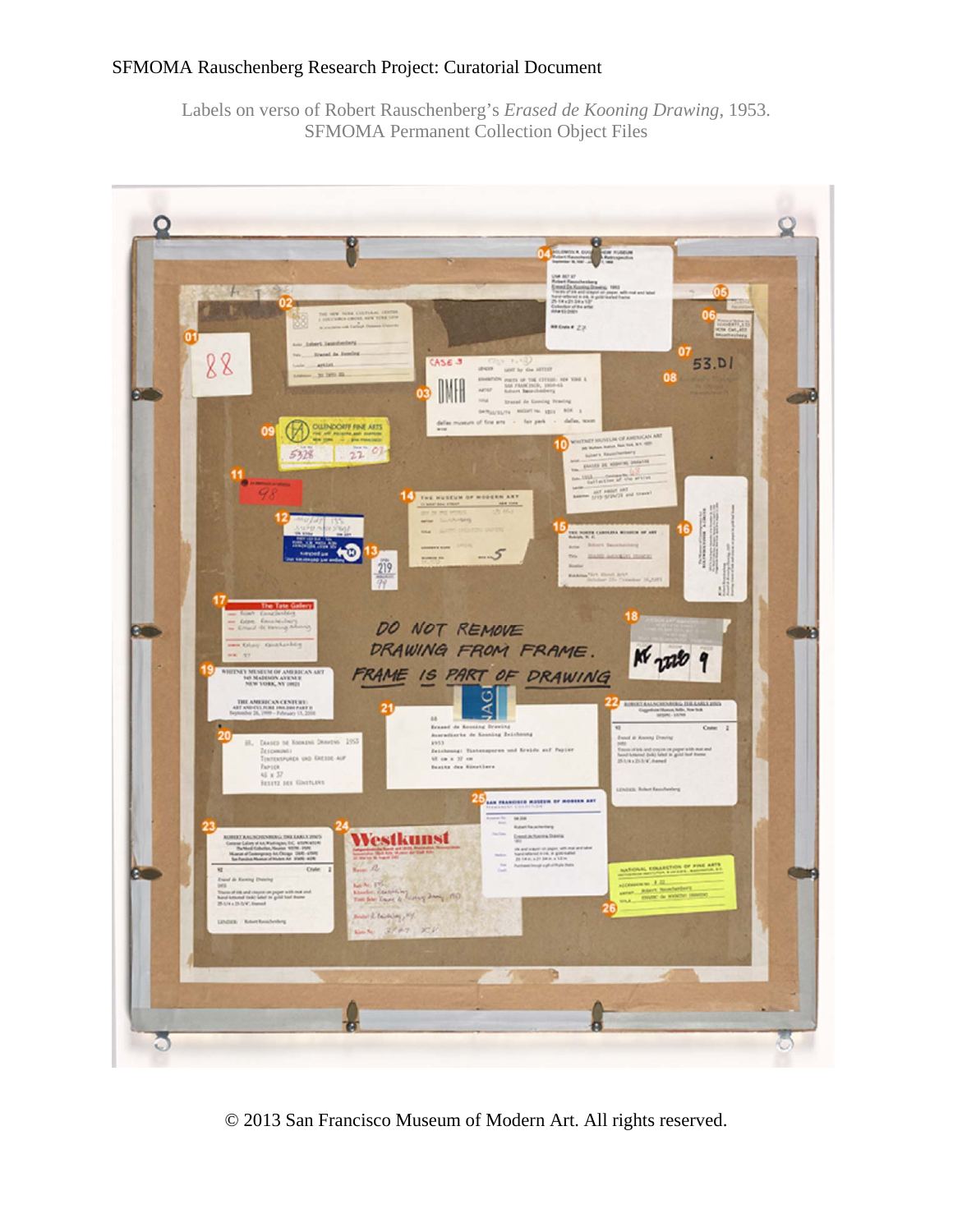Labels on verso of Robert Rauschenberg's *Erased de Kooning Drawing*, 1953. SFMOMA Permanent Collection Object Files



© 2013 San Francisco Museum of Modern Art. All rights reserved.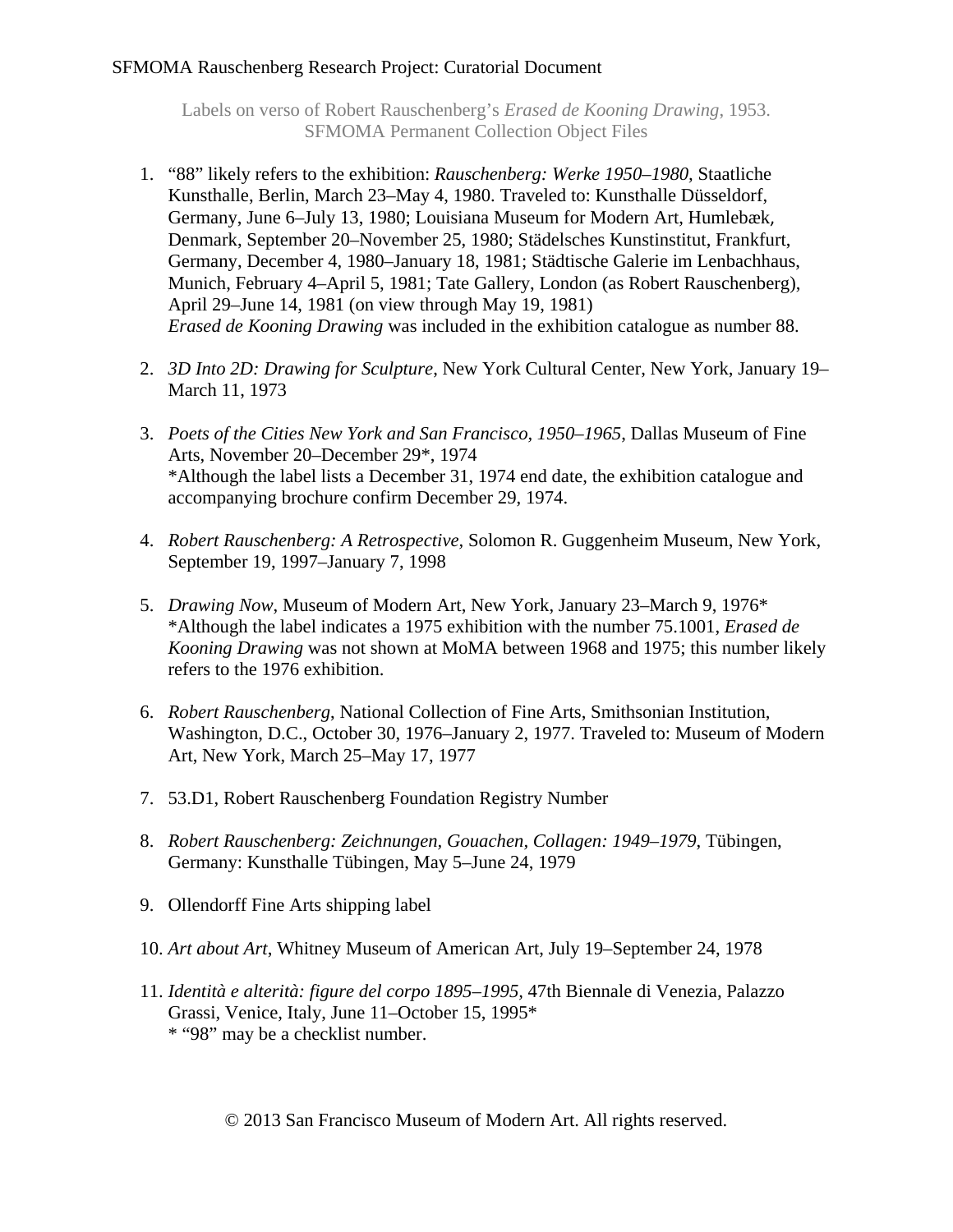Labels on verso of Robert Rauschenberg's *Erased de Kooning Drawing*, 1953. SFMOMA Permanent Collection Object Files

- 1. "88" likely refers to the exhibition: *Rauschenberg: Werke 1950–1980,* Staatliche Kunsthalle, Berlin, March 23–May 4, 1980. Traveled to: Kunsthalle Düsseldorf, Germany, June 6–July 13, 1980; Louisiana Museum for Modern Art, Humlebæk, Denmark, September 20–November 25, 1980; Städelsches Kunstinstitut, Frankfurt, Germany, December 4, 1980–January 18, 1981; Städtische Galerie im Lenbachhaus, Munich, February 4–April 5, 1981; Tate Gallery, London (as Robert Rauschenberg), April 29–June 14, 1981 (on view through May 19, 1981) *Erased de Kooning Drawing* was included in the exhibition catalogue as number 88.
- 2. *3D Into 2D: Drawing for Sculpture*, New York Cultural Center, New York, January 19– March 11, 1973
- 3. *Poets of the Cities New York and San Francisco, 1950–1965*, Dallas Museum of Fine Arts, November 20–December 29\*, 1974 \*Although the label lists a December 31, 1974 end date, the exhibition catalogue and accompanying brochure confirm December 29, 1974.
- 4. *Robert Rauschenberg: A Retrospective,* Solomon R. Guggenheim Museum, New York, September 19, 1997–January 7, 1998
- 5. *Drawing Now*, Museum of Modern Art, New York, January 23–March 9, 1976\* \*Although the label indicates a 1975 exhibition with the number 75.1001, *Erased de Kooning Drawing* was not shown at MoMA between 1968 and 1975; this number likely refers to the 1976 exhibition.
- 6. *Robert Rauschenberg*, National Collection of Fine Arts, Smithsonian Institution, Washington, D.C., October 30, 1976–January 2, 1977. Traveled to: Museum of Modern Art, New York, March 25–May 17, 1977
- 7. 53.D1, Robert Rauschenberg Foundation Registry Number
- 8. *Robert Rauschenberg: Zeichnungen, Gouachen, Collagen: 1949–1979*, Tübingen, Germany: Kunsthalle Tübingen, May 5–June 24, 1979
- 9. Ollendorff Fine Arts shipping label
- 10. *Art about Art*, Whitney Museum of American Art, July 19–September 24, 1978
- 11. *Identità e alterità: figure del corpo 1895–1995,* 47th Biennale di Venezia*,* Palazzo Grassi, Venice, Italy, June 11–October 15, 1995\* \* "98" may be a checklist number.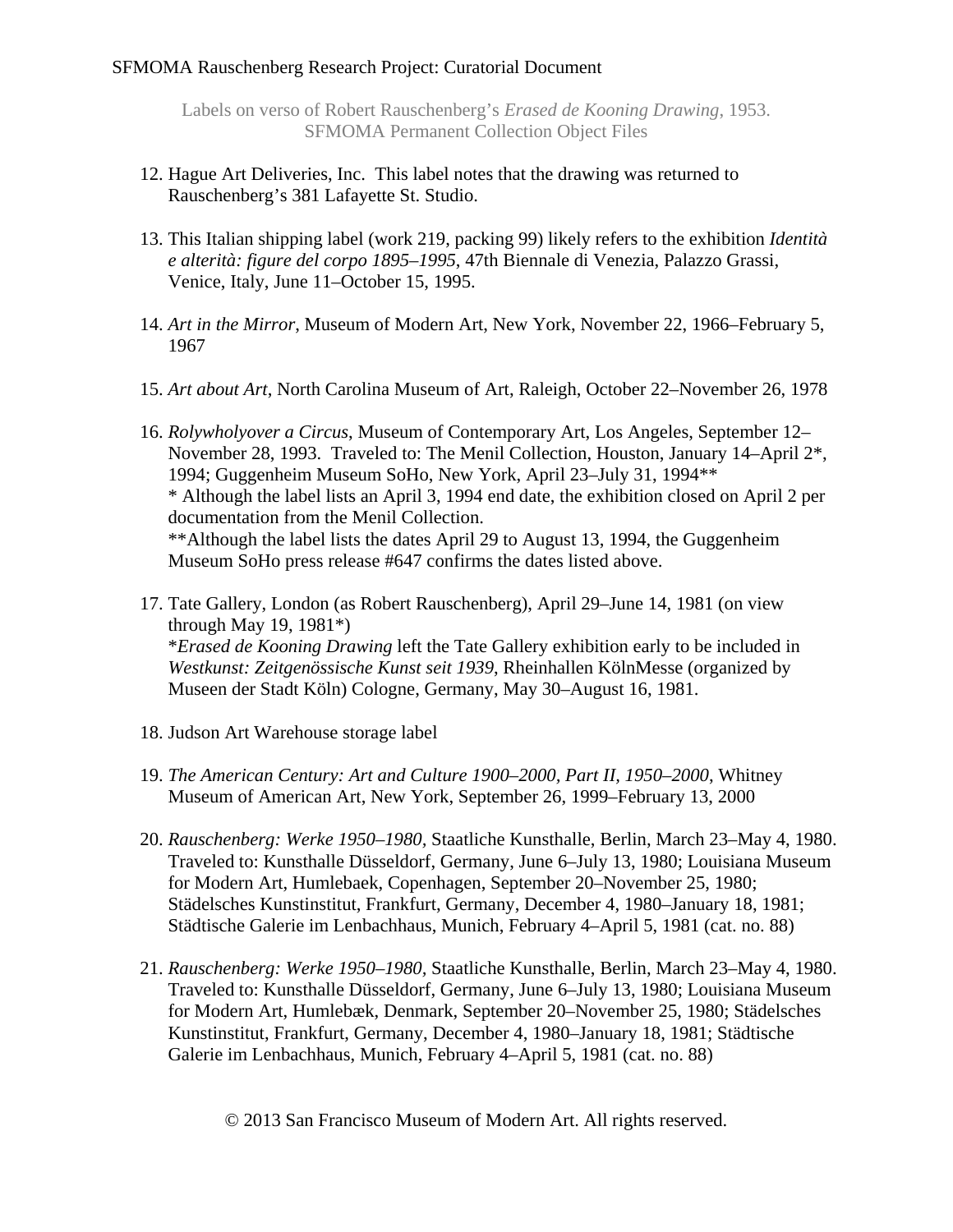Labels on verso of Robert Rauschenberg's *Erased de Kooning Drawing*, 1953. SFMOMA Permanent Collection Object Files

- 12. Hague Art Deliveries, Inc. This label notes that the drawing was returned to Rauschenberg's 381 Lafayette St. Studio.
- 13. This Italian shipping label (work 219, packing 99) likely refers to the exhibition *Identità e alterità: figure del corpo 1895–1995*, 47th Biennale di Venezia, Palazzo Grassi, Venice, Italy, June 11–October 15, 1995.
- 14. *Art in the Mirror*, Museum of Modern Art, New York, November 22, 1966–February 5, 1967
- 15. *Art about Art*, North Carolina Museum of Art, Raleigh, October 22–November 26, 1978
- 16. *Rolywholyover a Circus*, Museum of Contemporary Art, Los Angeles, September 12– November 28, 1993. Traveled to: The Menil Collection, Houston, January 14–April 2\*, 1994; Guggenheim Museum SoHo, New York, April 23–July 31, 1994\*\* \* Although the label lists an April 3, 1994 end date, the exhibition closed on April 2 per documentation from the Menil Collection. \*\*Although the label lists the dates April 29 to August 13, 1994, the Guggenheim Museum SoHo press release #647 confirms the dates listed above.
- 17. Tate Gallery, London (as Robert Rauschenberg), April 29–June 14, 1981 (on view through May 19, 1981\*) \**Erased de Kooning Drawing* left the Tate Gallery exhibition early to be included in *Westkunst: Zeitgenössische Kunst seit 1939*, Rheinhallen KölnMesse (organized by Museen der Stadt Köln) Cologne, Germany, May 30–August 16, 1981.
- 18. Judson Art Warehouse storage label
- 19. *The American Century: Art and Culture 1900–2000, Part II, 1950–2000*, Whitney Museum of American Art, New York, September 26, 1999–February 13, 2000
- 20. *Rauschenberg: Werke 1950–1980,* Staatliche Kunsthalle, Berlin, March 23–May 4, 1980. Traveled to: Kunsthalle Düsseldorf, Germany, June 6–July 13, 1980; Louisiana Museum for Modern Art, Humlebaek, Copenhagen, September 20–November 25, 1980; Städelsches Kunstinstitut, Frankfurt, Germany, December 4, 1980–January 18, 1981; Städtische Galerie im Lenbachhaus, Munich, February 4–April 5, 1981 (cat. no. 88)
- 21. *Rauschenberg: Werke 1950–1980,* Staatliche Kunsthalle, Berlin, March 23–May 4, 1980. Traveled to: Kunsthalle Düsseldorf, Germany, June 6–July 13, 1980; Louisiana Museum for Modern Art, Humlebæk, Denmark, September 20–November 25, 1980; Städelsches Kunstinstitut, Frankfurt, Germany, December 4, 1980–January 18, 1981; Städtische Galerie im Lenbachhaus, Munich, February 4–April 5, 1981 (cat. no. 88)